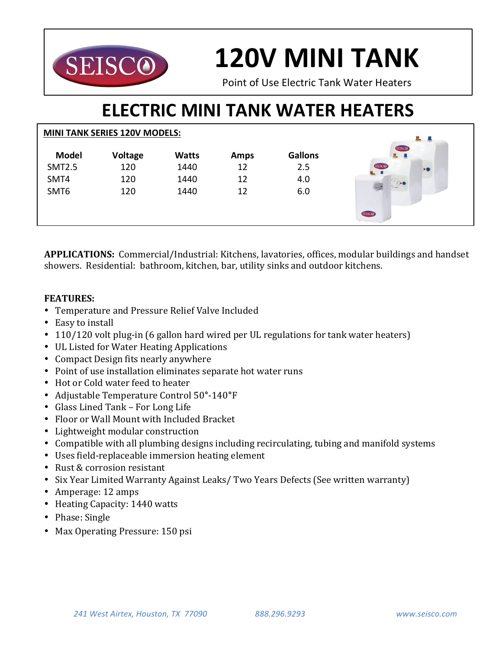

# **120V MINI TANK**

Point of Use Flectric Tank Water Heaters

## **ELECTRIC MINI TANK WATER HEATERS**

|               | <b>MINI TANK SERIES 120V MODELS:</b> |              |             |                | 느쁘                        |  |
|---------------|--------------------------------------|--------------|-------------|----------------|---------------------------|--|
| <b>Model</b>  | <b>Voltage</b>                       | <b>Watts</b> | <b>Amps</b> | <b>Gallons</b> | SEISCO<br>르르              |  |
| <b>SMT2.5</b> | 120                                  | 1440         | 12          | 2.5            | SEISCO<br>$\bullet$<br>鬼具 |  |
| SMT4          | 120                                  | 1440         | 12          | 4.0            |                           |  |
| SMT6          | 120                                  | 1440         | 12          | 6.0            |                           |  |
|               |                                      |              |             |                | <b>SEISCO</b>             |  |

APPLICATIONS: Commercial/Industrial: Kitchens, lavatories, offices, modular buildings and handset showers. Residential: bathroom, kitchen, bar, utility sinks and outdoor kitchens.

#### **FEATURES:**

- Temperature and Pressure Relief Valve Included
- Easy to install
- 110/120 volt plug-in (6 gallon hard wired per UL regulations for tank water heaters)
- UL Listed for Water Heating Applications
- Compact Design fits nearly anywhere
- Point of use installation eliminates separate hot water runs
- Hot or Cold water feed to heater
- Adjustable Temperature Control 50**°**-140**°**F
- Glass Lined Tank For Long Life
- Floor or Wall Mount with Included Bracket
- Lightweight modular construction
- Compatible with all plumbing designs including recirculating, tubing and manifold systems
- Uses field-replaceable immersion heating element
- Rust & corrosion resistant
- Six Year Limited Warranty Against Leaks/ Two Years Defects (See written warranty)
- Amperage: 12 amps
- Heating Capacity: 1440 watts
- Phase: Single
- Max Operating Pressure: 150 psi